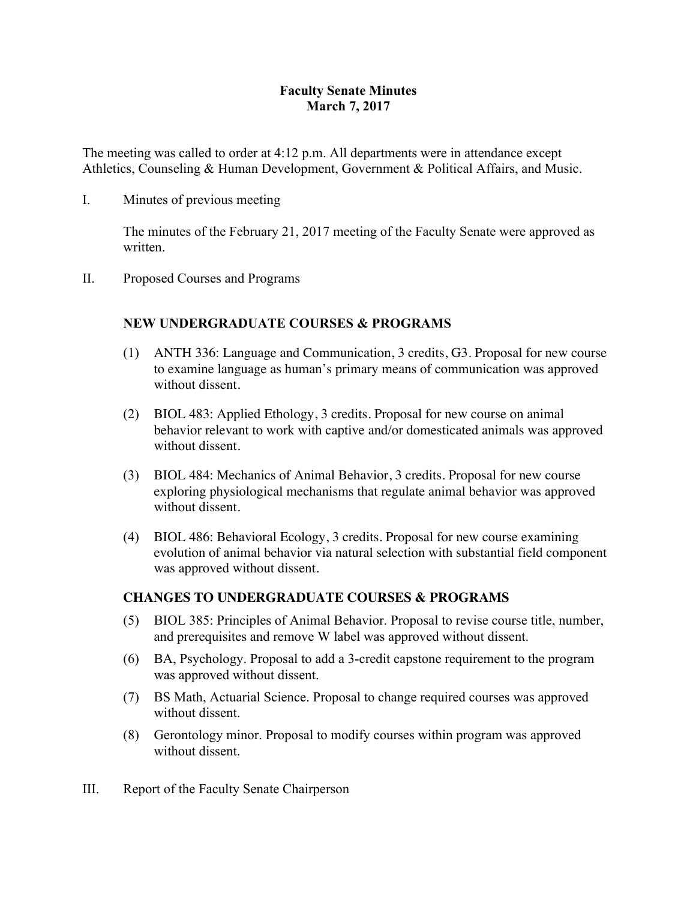### **Faculty Senate Minutes March 7, 2017**

The meeting was called to order at 4:12 p.m. All departments were in attendance except Athletics, Counseling & Human Development, Government & Political Affairs, and Music.

I. Minutes of previous meeting

The minutes of the February 21, 2017 meeting of the Faculty Senate were approved as written.

II. Proposed Courses and Programs

### **NEW UNDERGRADUATE COURSES & PROGRAMS**

- (1) ANTH 336: Language and Communication, 3 credits, G3. Proposal for new course to examine language as human's primary means of communication was approved without dissent.
- (2) BIOL 483: Applied Ethology, 3 credits. Proposal for new course on animal behavior relevant to work with captive and/or domesticated animals was approved without dissent.
- (3) BIOL 484: Mechanics of Animal Behavior, 3 credits. Proposal for new course exploring physiological mechanisms that regulate animal behavior was approved without dissent.
- (4) BIOL 486: Behavioral Ecology, 3 credits. Proposal for new course examining evolution of animal behavior via natural selection with substantial field component was approved without dissent.

### **CHANGES TO UNDERGRADUATE COURSES & PROGRAMS**

- (5) BIOL 385: Principles of Animal Behavior. Proposal to revise course title, number, and prerequisites and remove W label was approved without dissent.
- (6) BA, Psychology. Proposal to add a 3-credit capstone requirement to the program was approved without dissent.
- (7) BS Math, Actuarial Science. Proposal to change required courses was approved without dissent.
- (8) Gerontology minor. Proposal to modify courses within program was approved without dissent.
- III. Report of the Faculty Senate Chairperson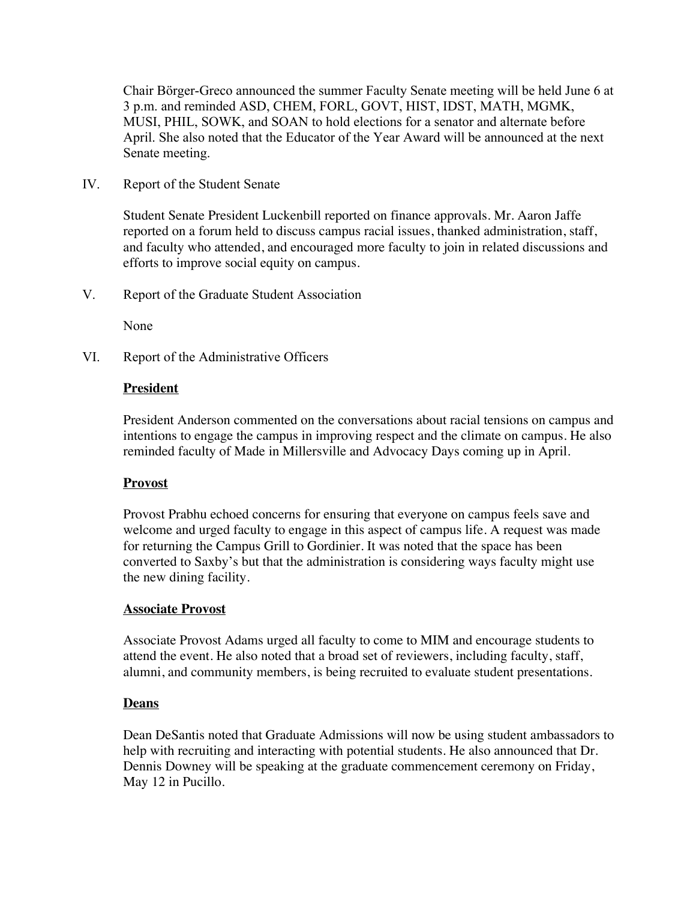Chair Börger-Greco announced the summer Faculty Senate meeting will be held June 6 at 3 p.m. and reminded ASD, CHEM, FORL, GOVT, HIST, IDST, MATH, MGMK, MUSI, PHIL, SOWK, and SOAN to hold elections for a senator and alternate before April. She also noted that the Educator of the Year Award will be announced at the next Senate meeting.

IV. Report of the Student Senate

Student Senate President Luckenbill reported on finance approvals. Mr. Aaron Jaffe reported on a forum held to discuss campus racial issues, thanked administration, staff, and faculty who attended, and encouraged more faculty to join in related discussions and efforts to improve social equity on campus.

V. Report of the Graduate Student Association

None

VI. Report of the Administrative Officers

#### **President**

President Anderson commented on the conversations about racial tensions on campus and intentions to engage the campus in improving respect and the climate on campus. He also reminded faculty of Made in Millersville and Advocacy Days coming up in April.

#### **Provost**

Provost Prabhu echoed concerns for ensuring that everyone on campus feels save and welcome and urged faculty to engage in this aspect of campus life. A request was made for returning the Campus Grill to Gordinier. It was noted that the space has been converted to Saxby's but that the administration is considering ways faculty might use the new dining facility.

#### **Associate Provost**

Associate Provost Adams urged all faculty to come to MIM and encourage students to attend the event. He also noted that a broad set of reviewers, including faculty, staff, alumni, and community members, is being recruited to evaluate student presentations.

#### **Deans**

Dean DeSantis noted that Graduate Admissions will now be using student ambassadors to help with recruiting and interacting with potential students. He also announced that Dr. Dennis Downey will be speaking at the graduate commencement ceremony on Friday, May 12 in Pucillo.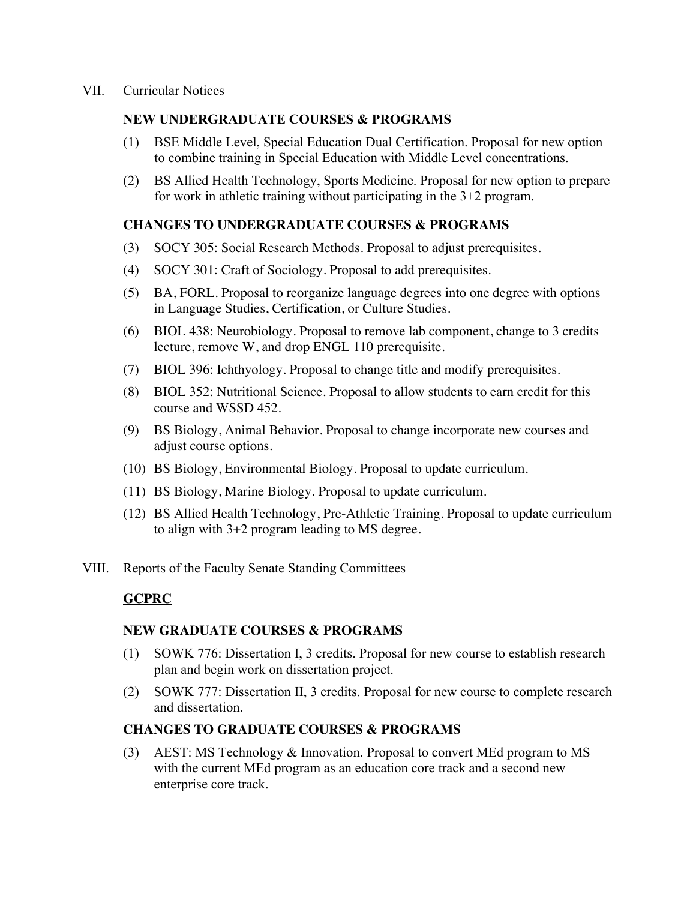#### **NEW UNDERGRADUATE COURSES & PROGRAMS**

- (1) BSE Middle Level, Special Education Dual Certification. Proposal for new option to combine training in Special Education with Middle Level concentrations.
- (2) BS Allied Health Technology, Sports Medicine. Proposal for new option to prepare for work in athletic training without participating in the  $3+2$  program.

### **CHANGES TO UNDERGRADUATE COURSES & PROGRAMS**

- (3) SOCY 305: Social Research Methods. Proposal to adjust prerequisites.
- (4) SOCY 301: Craft of Sociology. Proposal to add prerequisites.
- (5) BA, FORL. Proposal to reorganize language degrees into one degree with options in Language Studies, Certification, or Culture Studies.
- (6) BIOL 438: Neurobiology. Proposal to remove lab component, change to 3 credits lecture, remove W, and drop ENGL 110 prerequisite.
- (7) BIOL 396: Ichthyology. Proposal to change title and modify prerequisites.
- (8) BIOL 352: Nutritional Science. Proposal to allow students to earn credit for this course and WSSD 452.
- (9) BS Biology, Animal Behavior. Proposal to change incorporate new courses and adjust course options.
- (10) BS Biology, Environmental Biology. Proposal to update curriculum.
- (11) BS Biology, Marine Biology. Proposal to update curriculum.
- (12) BS Allied Health Technology, Pre-Athletic Training. Proposal to update curriculum to align with 3+2 program leading to MS degree.
- VIII. Reports of the Faculty Senate Standing Committees

# **GCPRC**

### **NEW GRADUATE COURSES & PROGRAMS**

- (1) SOWK 776: Dissertation I, 3 credits. Proposal for new course to establish research plan and begin work on dissertation project.
- (2) SOWK 777: Dissertation II, 3 credits. Proposal for new course to complete research and dissertation.

### **CHANGES TO GRADUATE COURSES & PROGRAMS**

(3) AEST: MS Technology & Innovation. Proposal to convert MEd program to MS with the current MEd program as an education core track and a second new enterprise core track.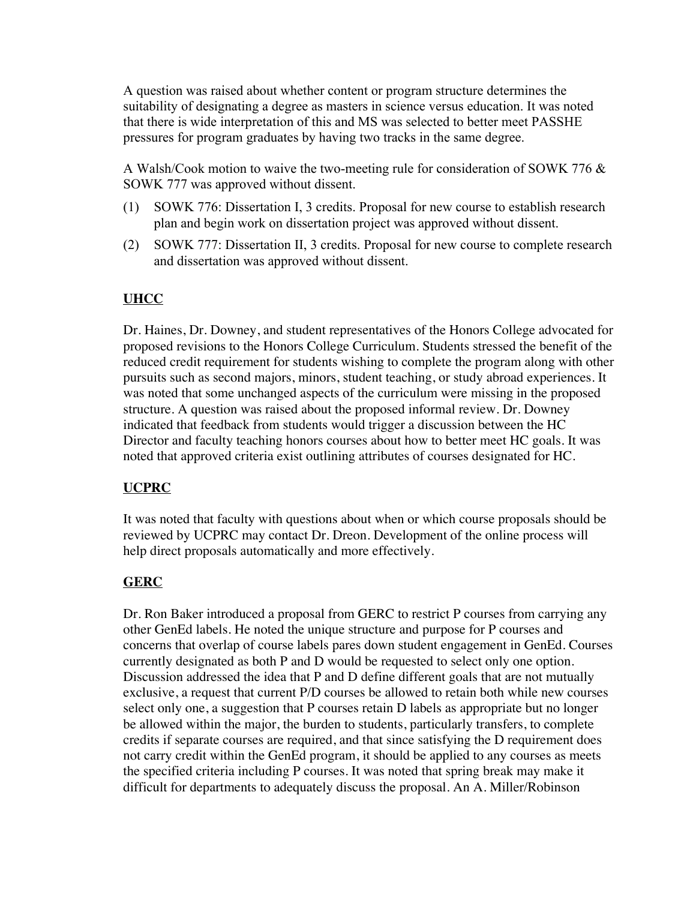A question was raised about whether content or program structure determines the suitability of designating a degree as masters in science versus education. It was noted that there is wide interpretation of this and MS was selected to better meet PASSHE pressures for program graduates by having two tracks in the same degree.

A Walsh/Cook motion to waive the two-meeting rule for consideration of SOWK 776 & SOWK 777 was approved without dissent.

- (1) SOWK 776: Dissertation I, 3 credits. Proposal for new course to establish research plan and begin work on dissertation project was approved without dissent.
- (2) SOWK 777: Dissertation II, 3 credits. Proposal for new course to complete research and dissertation was approved without dissent.

# **UHCC**

Dr. Haines, Dr. Downey, and student representatives of the Honors College advocated for proposed revisions to the Honors College Curriculum. Students stressed the benefit of the reduced credit requirement for students wishing to complete the program along with other pursuits such as second majors, minors, student teaching, or study abroad experiences. It was noted that some unchanged aspects of the curriculum were missing in the proposed structure. A question was raised about the proposed informal review. Dr. Downey indicated that feedback from students would trigger a discussion between the HC Director and faculty teaching honors courses about how to better meet HC goals. It was noted that approved criteria exist outlining attributes of courses designated for HC.

# **UCPRC**

It was noted that faculty with questions about when or which course proposals should be reviewed by UCPRC may contact Dr. Dreon. Development of the online process will help direct proposals automatically and more effectively.

# **GERC**

Dr. Ron Baker introduced a proposal from GERC to restrict P courses from carrying any other GenEd labels. He noted the unique structure and purpose for P courses and concerns that overlap of course labels pares down student engagement in GenEd. Courses currently designated as both P and D would be requested to select only one option. Discussion addressed the idea that P and D define different goals that are not mutually exclusive, a request that current P/D courses be allowed to retain both while new courses select only one, a suggestion that P courses retain D labels as appropriate but no longer be allowed within the major, the burden to students, particularly transfers, to complete credits if separate courses are required, and that since satisfying the D requirement does not carry credit within the GenEd program, it should be applied to any courses as meets the specified criteria including P courses. It was noted that spring break may make it difficult for departments to adequately discuss the proposal. An A. Miller/Robinson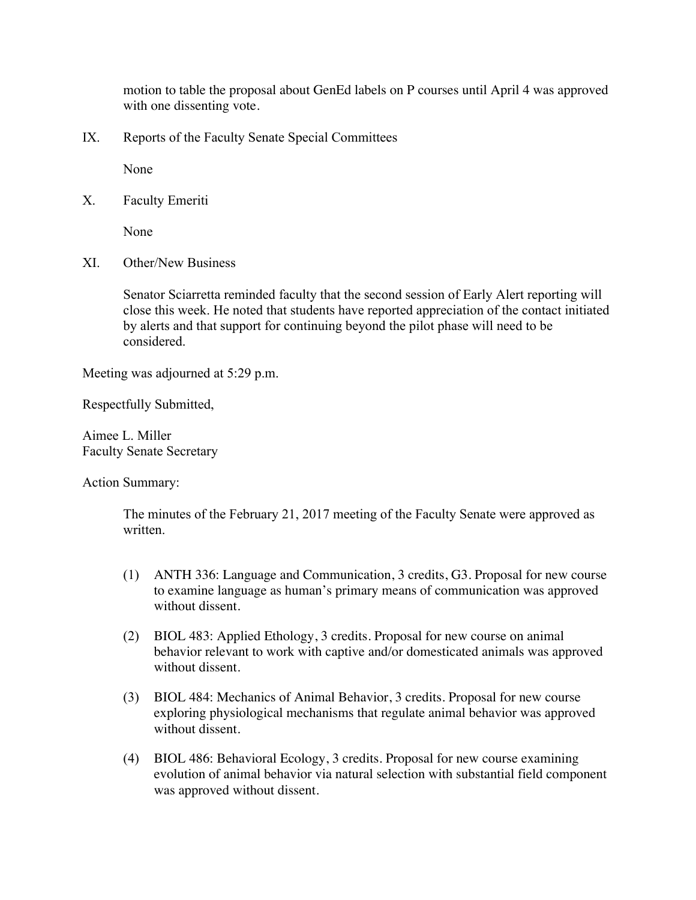motion to table the proposal about GenEd labels on P courses until April 4 was approved with one dissenting vote.

IX. Reports of the Faculty Senate Special Committees

None

X. Faculty Emeriti

None

XI. Other/New Business

Senator Sciarretta reminded faculty that the second session of Early Alert reporting will close this week. He noted that students have reported appreciation of the contact initiated by alerts and that support for continuing beyond the pilot phase will need to be considered.

Meeting was adjourned at 5:29 p.m.

Respectfully Submitted,

Aimee L. Miller Faculty Senate Secretary

Action Summary:

The minutes of the February 21, 2017 meeting of the Faculty Senate were approved as written.

- (1) ANTH 336: Language and Communication, 3 credits, G3. Proposal for new course to examine language as human's primary means of communication was approved without dissent.
- (2) BIOL 483: Applied Ethology, 3 credits. Proposal for new course on animal behavior relevant to work with captive and/or domesticated animals was approved without dissent.
- (3) BIOL 484: Mechanics of Animal Behavior, 3 credits. Proposal for new course exploring physiological mechanisms that regulate animal behavior was approved without dissent.
- (4) BIOL 486: Behavioral Ecology, 3 credits. Proposal for new course examining evolution of animal behavior via natural selection with substantial field component was approved without dissent.